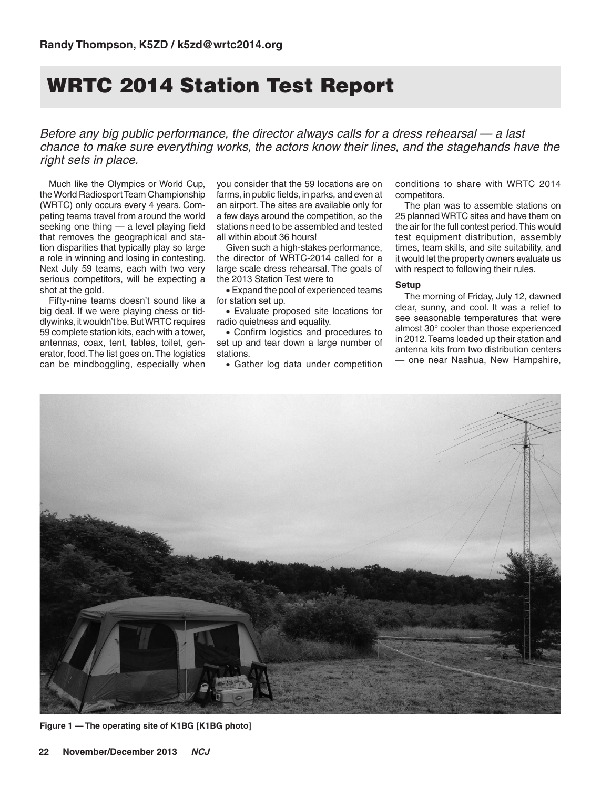# WRTC 2014 Station Test Report

*Before any big public performance, the director always calls for a dress rehearsal — a last chance to make sure everything works, the actors know their lines, and the stagehands have the right sets in place.*

Much like the Olympics or World Cup, the World Radiosport Team Championship (WRTC) only occurs every 4 years. Competing teams travel from around the world seeking one thing — a level playing field that removes the geographical and station disparities that typically play so large a role in winning and losing in contesting. Next July 59 teams, each with two very serious competitors, will be expecting a shot at the gold.

Fifty-nine teams doesn't sound like a big deal. If we were playing chess or tiddlywinks, it wouldn't be. But WRTC requires 59 complete station kits, each with a tower, antennas, coax, tent, tables, toilet, generator, food. The list goes on. The logistics can be mindboggling, especially when

you consider that the 59 locations are on farms, in public fields, in parks, and even at an airport. The sites are available only for a few days around the competition, so the stations need to be assembled and tested all within about 36 hours!

Given such a high-stakes performance, the director of WRTC-2014 called for a large scale dress rehearsal. The goals of the 2013 Station Test were to

• Expand the pool of experienced teams for station set up.

• Evaluate proposed site locations for radio quietness and equality.

• Confirm logistics and procedures to set up and tear down a large number of stations.

• Gather log data under competition

conditions to share with WRTC 2014 competitors.

The plan was to assemble stations on 25 planned WRTC sites and have them on the air for the full contest period. This would test equipment distribution, assembly times, team skills, and site suitability, and it would let the property owners evaluate us with respect to following their rules.

### **Setup**

The morning of Friday, July 12, dawned clear, sunny, and cool. It was a relief to see seasonable temperatures that were almost 30° cooler than those experienced in 2012. Teams loaded up their station and antenna kits from two distribution centers — one near Nashua, New Hampshire,



**Figure 1 — The operating site of K1BG [K1BG photo]**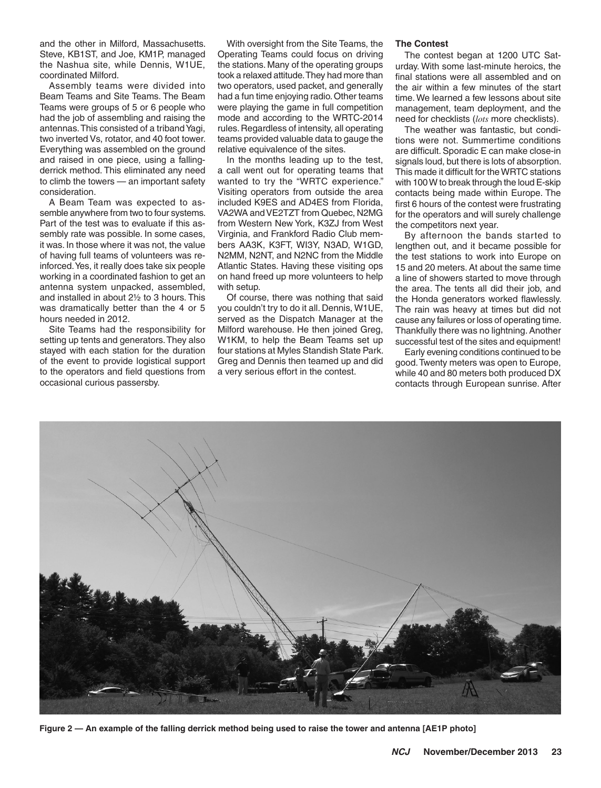and the other in Milford, Massachusetts. Steve, KB1ST, and Joe, KM1P, managed the Nashua site, while Dennis, W1UE, coordinated Milford.

Assembly teams were divided into Beam Teams and Site Teams. The Beam Teams were groups of 5 or 6 people who had the job of assembling and raising the antennas. This consisted of a triband Yagi, two inverted Vs, rotator, and 40 foot tower. Everything was assembled on the ground and raised in one piece, using a fallingderrick method. This eliminated any need to climb the towers — an important safety consideration.

A Beam Team was expected to assemble anywhere from two to four systems. Part of the test was to evaluate if this assembly rate was possible. In some cases, it was. In those where it was not, the value of having full teams of volunteers was reinforced. Yes, it really does take six people working in a coordinated fashion to get an antenna system unpacked, assembled, and installed in about 2½ to 3 hours. This was dramatically better than the 4 or 5 hours needed in 2012.

Site Teams had the responsibility for setting up tents and generators. They also stayed with each station for the duration of the event to provide logistical support to the operators and field questions from occasional curious passersby.

With oversight from the Site Teams, the Operating Teams could focus on driving the stations. Many of the operating groups took a relaxed attitude. They had more than two operators, used packet, and generally had a fun time enjoying radio. Other teams were playing the game in full competition mode and according to the WRTC-2014 rules. Regardless of intensity, all operating teams provided valuable data to gauge the relative equivalence of the sites.

In the months leading up to the test, a call went out for operating teams that wanted to try the "WRTC experience." Visiting operators from outside the area included K9ES and AD4ES from Florida, VA2WA and VE2TZT from Quebec, N2MG from Western New York, K3ZJ from West Virginia, and Frankford Radio Club members AA3K, K3FT, WI3Y, N3AD, W1GD, N2MM, N2NT, and N2NC from the Middle Atlantic States. Having these visiting ops on hand freed up more volunteers to help with setup.

Of course, there was nothing that said you couldn't try to do it all. Dennis, W1UE, served as the Dispatch Manager at the Milford warehouse. He then joined Greg, W1KM, to help the Beam Teams set up four stations at Myles Standish State Park. Greg and Dennis then teamed up and did a very serious effort in the contest.

#### **The Contest**

The contest began at 1200 UTC Saturday. With some last-minute heroics, the final stations were all assembled and on the air within a few minutes of the start time. We learned a few lessons about site management, team deployment, and the need for checklists (*lots* more checklists).

The weather was fantastic, but conditions were not. Summertime conditions are difficult. Sporadic E can make close-in signals loud, but there is lots of absorption. This made it difficult for the WRTC stations with 100 W to break through the loud E-skip contacts being made within Europe. The first 6 hours of the contest were frustrating for the operators and will surely challenge the competitors next year.

By afternoon the bands started to lengthen out, and it became possible for the test stations to work into Europe on 15 and 20 meters. At about the same time a line of showers started to move through the area. The tents all did their job, and the Honda generators worked flawlessly. The rain was heavy at times but did not cause any failures or loss of operating time. Thankfully there was no lightning. Another successful test of the sites and equipment!

Early evening conditions continued to be good. Twenty meters was open to Europe, while 40 and 80 meters both produced DX contacts through European sunrise. After



**Figure 2 — An example of the falling derrick method being used to raise the tower and antenna [AE1P photo]**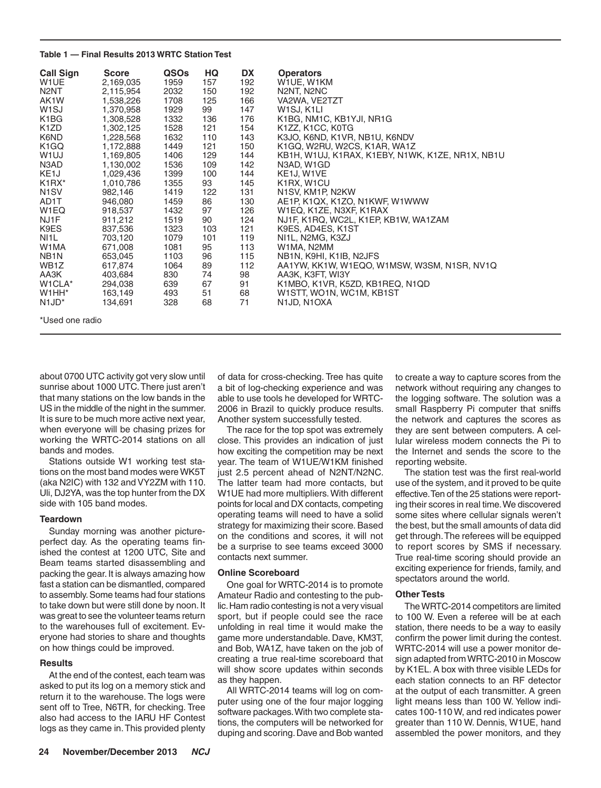#### **Table 1 — Final Results 2013 WRTC Station Test**

| <b>Call Sign</b><br>W <sub>1</sub> UE<br>N <sub>2</sub> NT<br>AK1W<br>W <sub>1</sub> SJ<br>K <sub>1</sub> B <sub>G</sub><br>K <sub>1</sub> ZD<br>K6ND<br>K <sub>1</sub> GQ<br>W <sub>1</sub> UJ<br>N3AD<br>KE <sub>1</sub> J<br>$K1 R X^*$<br>N <sub>1</sub> SV<br>AD1T<br>W <sub>1</sub> EQ<br>NJ1F<br>K9ES<br>NI <sub>1</sub> L<br>W1MA<br>NB <sub>1</sub> N | <b>Score</b><br>2,169,035<br>2,115,954<br>1,538,226<br>1,370,958<br>1,308,528<br>1,302,125<br>1,228,568<br>1,172,888<br>1,169,805<br>1,130,002<br>1,029,436<br>1,010,786<br>982,146<br>946,080<br>918,537<br>911,212<br>837,536<br>703,120<br>671.008<br>653,045 | <b>QSOs</b><br>1959<br>2032<br>1708<br>1929<br>1332<br>1528<br>1632<br>1449<br>1406<br>1536<br>1399<br>1355<br>1419<br>1459<br>1432<br>1519<br>1323<br>1079<br>1081<br>1103 | HQ<br>157<br>150<br>125<br>99<br>136<br>121<br>110<br>121<br>129<br>109<br>100<br>93<br>122<br>86<br>97<br>90<br>103<br>101<br>95<br>96 | DX<br>192<br>192<br>166<br>147<br>176<br>154<br>143<br>150<br>144<br>142<br>144<br>145<br>131<br>130<br>126<br>124<br>121<br>119<br>113<br>115 | <b>Operators</b><br>W1UE, W1KM<br>N2NT, N2NC<br>VA2WA, VE2TZT<br>W <sub>1</sub> SJ, K <sub>1</sub> LI<br>K1BG, NM1C, KB1YJI, NR1G<br>K1ZZ, K1CC, K0TG<br>K3JO, K6ND, K1VR, NB1U, K6NDV<br>K1GQ, W2RU, W2CS, K1AR, WA1Z<br>KB1H, W1UJ, K1RAX, K1EBY, N1WK, K1ZE, NR1X, NB1U<br>N3AD, W1GD<br>KE1J, W1VE<br>K1RX, W1CU<br>N1SV, KM1P, N2KW<br>AE1P, K1QX, K1ZO, N1KWF, W1WWW<br>W1EQ, K1ZE, N3XF, K1RAX<br>NJ1F, K1RQ, WC2L, K1EP, KB1W, WA1ZAM<br>K9ES, AD4ES, K1ST<br>NI1L, N2MG, K3ZJ<br>W1MA, N2MM<br>NB1N, K9HI, K1IB, N2JFS |
|----------------------------------------------------------------------------------------------------------------------------------------------------------------------------------------------------------------------------------------------------------------------------------------------------------------------------------------------------------------|------------------------------------------------------------------------------------------------------------------------------------------------------------------------------------------------------------------------------------------------------------------|-----------------------------------------------------------------------------------------------------------------------------------------------------------------------------|-----------------------------------------------------------------------------------------------------------------------------------------|------------------------------------------------------------------------------------------------------------------------------------------------|---------------------------------------------------------------------------------------------------------------------------------------------------------------------------------------------------------------------------------------------------------------------------------------------------------------------------------------------------------------------------------------------------------------------------------------------------------------------------------------------------------------------------------|
|                                                                                                                                                                                                                                                                                                                                                                |                                                                                                                                                                                                                                                                  |                                                                                                                                                                             |                                                                                                                                         |                                                                                                                                                |                                                                                                                                                                                                                                                                                                                                                                                                                                                                                                                                 |
| WB <sub>1</sub> Z                                                                                                                                                                                                                                                                                                                                              | 617,874                                                                                                                                                                                                                                                          | 1064                                                                                                                                                                        | 89                                                                                                                                      | 112                                                                                                                                            | AA1YW, KK1W, W1EQO, W1MSW, W3SM, N1SR, NV1Q                                                                                                                                                                                                                                                                                                                                                                                                                                                                                     |
| AA3K<br>W1CLA*<br>W <sub>1</sub> HH <sup>*</sup>                                                                                                                                                                                                                                                                                                               | 403,684<br>294,038<br>163,149<br>134,691                                                                                                                                                                                                                         | 830<br>639<br>493<br>328                                                                                                                                                    | 74<br>67<br>51<br>68                                                                                                                    | 98<br>91<br>68<br>71                                                                                                                           | AA3K, K3FT, WI3Y<br>K1MBO, K1VR, K5ZD, KB1REQ, N1QD<br>W1STT, WO1N, WC1M, KB1ST<br>N1JD, N1OXA                                                                                                                                                                                                                                                                                                                                                                                                                                  |

\*Used one radio

about 0700 UTC activity got very slow until sunrise about 1000 UTC. There just aren't that many stations on the low bands in the US in the middle of the night in the summer. It is sure to be much more active next year, when everyone will be chasing prizes for working the WRTC-2014 stations on all bands and modes.

Stations outside W1 working test stations on the most band modes were WK5T (aka N2IC) with 132 and VY2ZM with 110. Uli, DJ2YA, was the top hunter from the DX side with 105 band modes.

# **Teardown**

Sunday morning was another pictureperfect day. As the operating teams finished the contest at 1200 UTC, Site and Beam teams started disassembling and packing the gear. It is always amazing how fast a station can be dismantled, compared to assembly. Some teams had four stations to take down but were still done by noon. It was great to see the volunteer teams return to the warehouses full of excitement. Everyone had stories to share and thoughts on how things could be improved.

#### **Results**

At the end of the contest, each team was asked to put its log on a memory stick and return it to the warehouse. The logs were sent off to Tree, N6TR, for checking. Tree also had access to the IARU HF Contest logs as they came in. This provided plenty

of data for cross-checking. Tree has quite a bit of log-checking experience and was able to use tools he developed for WRTC-2006 in Brazil to quickly produce results. Another system successfully tested.

The race for the top spot was extremely close. This provides an indication of just how exciting the competition may be next year. The team of W1UE/W1KM finished just 2.5 percent ahead of N2NT/N2NC. The latter team had more contacts, but W1UE had more multipliers. With different points for local and DX contacts, competing operating teams will need to have a solid strategy for maximizing their score. Based on the conditions and scores, it will not be a surprise to see teams exceed 3000 contacts next summer.

# **Online Scoreboard**

One goal for WRTC-2014 is to promote Amateur Radio and contesting to the public. Ham radio contesting is not a very visual sport, but if people could see the race unfolding in real time it would make the game more understandable. Dave, KM3T, and Bob, WA1Z, have taken on the job of creating a true real-time scoreboard that will show score updates within seconds as they happen.

All WRTC-2014 teams will log on computer using one of the four major logging software packages. With two complete stations, the computers will be networked for duping and scoring. Dave and Bob wanted

to create a way to capture scores from the network without requiring any changes to the logging software. The solution was a small Raspberry Pi computer that sniffs the network and captures the scores as they are sent between computers. A cellular wireless modem connects the Pi to the Internet and sends the score to the reporting website.

The station test was the first real-world use of the system, and it proved to be quite effective. Ten of the 25 stations were reporting their scores in real time. We discovered some sites where cellular signals weren't the best, but the small amounts of data did get through. The referees will be equipped to report scores by SMS if necessary. True real-time scoring should provide an exciting experience for friends, family, and spectators around the world.

# **Other Tests**

The WRTC-2014 competitors are limited to 100 W. Even a referee will be at each station, there needs to be a way to easily confirm the power limit during the contest. WRTC-2014 will use a power monitor design adapted from WRTC-2010 in Moscow by K1EL. A box with three visible LEDs for each station connects to an RF detector at the output of each transmitter. A green light means less than 100 W. Yellow indicates 100-110 W, and red indicates power greater than 110 W. Dennis, W1UE, hand assembled the power monitors, and they